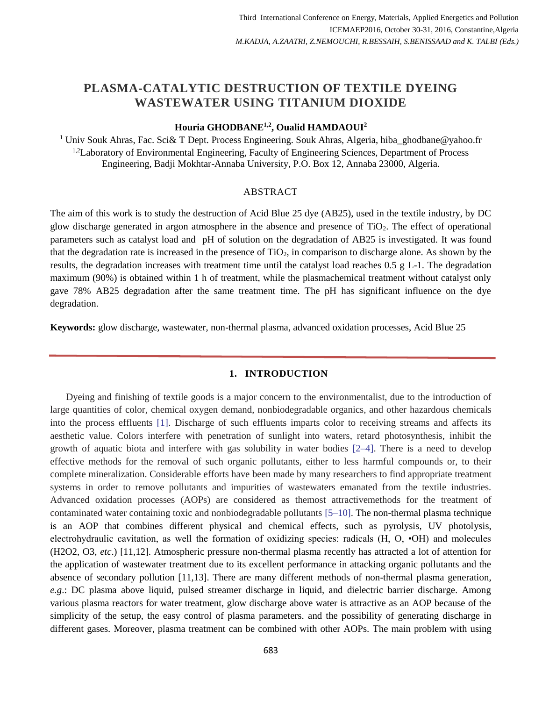# **PLASMA-CATALYTIC DESTRUCTION OF TEXTILE DYEING WASTEWATER USING TITANIUM DIOXIDE**

# **Houria GHODBANE1,2, Oualid HAMDAOUI<sup>2</sup>**

<sup>1</sup> Univ Souk Ahras, Fac. Sci& T Dept. Process Engineering. Souk Ahras, Algeria, hiba\_ghodbane@yahoo.fr <sup>1,2</sup>Laboratory of Environmental Engineering, Faculty of Engineering Sciences, Department of Process Engineering, Badji Mokhtar-Annaba University, P.O. Box 12, Annaba 23000, Algeria.

#### ABSTRACT

The aim of this work is to study the destruction of Acid Blue 25 dye (AB25), used in the textile industry, by DC glow discharge generated in argon atmosphere in the absence and presence of TiO2. The effect of operational parameters such as catalyst load and pH of solution on the degradation of AB25 is investigated. It was found that the degradation rate is increased in the presence of  $TiO<sub>2</sub>$ , in comparison to discharge alone. As shown by the results, the degradation increases with treatment time until the catalyst load reaches 0.5 g L-1. The degradation maximum (90%) is obtained within 1 h of treatment, while the plasmachemical treatment without catalyst only gave 78% AB25 degradation after the same treatment time. The pH has significant influence on the dye degradation.

**Keywords:** glow discharge, wastewater, non-thermal plasma, advanced oxidation processes, Acid Blue 25

#### **1. INTRODUCTION**

Dyeing and finishing of textile goods is a major concern to the environmentalist, due to the introduction of large quantities of color, chemical oxygen demand, nonbiodegradable organics, and other hazardous chemicals into the process effluents [1]. Discharge of such effluents imparts color to receiving streams and affects its aesthetic value. Colors interfere with penetration of sunlight into waters, retard photosynthesis, inhibit the growth of aquatic biota and interfere with gas solubility in water bodies [2–4]. There is a need to develop effective methods for the removal of such organic pollutants, either to less harmful compounds or, to their complete mineralization. Considerable efforts have been made by many researchers to find appropriate treatment systems in order to remove pollutants and impurities of wastewaters emanated from the textile industries. Advanced oxidation processes (AOPs) are considered as themost attractivemethods for the treatment of contaminated water containing toxic and nonbiodegradable pollutants [5–10]. The non-thermal plasma technique is an AOP that combines different physical and chemical effects, such as pyrolysis, UV photolysis, electrohydraulic cavitation, as well the formation of oxidizing species: radicals (H, O, •OH) and molecules (H2O2, O3, *etc*.) [11,12]. Atmospheric pressure non-thermal plasma recently has attracted a lot of attention for the application of wastewater treatment due to its excellent performance in attacking organic pollutants and the absence of secondary pollution [11,13]. There are many different methods of non-thermal plasma generation, *e.g*.: DC plasma above liquid, pulsed streamer discharge in liquid, and dielectric barrier discharge. Among various plasma reactors for water treatment, glow discharge above water is attractive as an AOP because of the simplicity of the setup, the easy control of plasma parameters. and the possibility of generating discharge in different gases. Moreover, plasma treatment can be combined with other AOPs. The main problem with using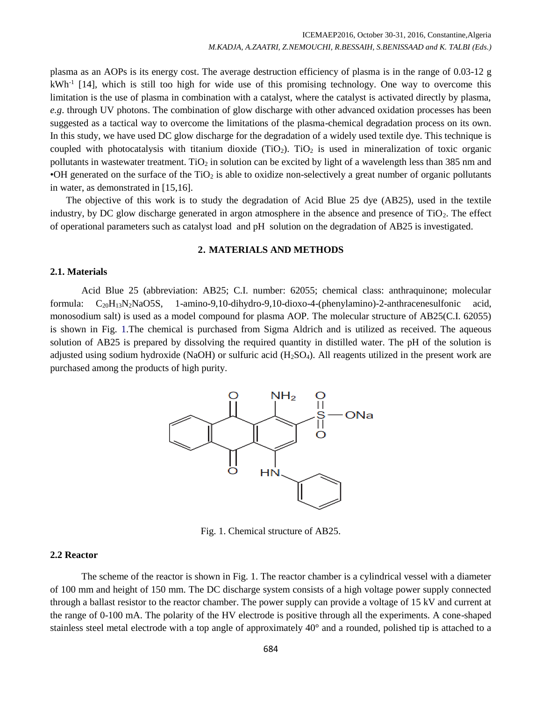plasma as an AOPs is its energy cost. The average destruction efficiency of plasma is in the range of 0.03-12 g kWh<sup>-1</sup> [14], which is still too high for wide use of this promising technology. One way to overcome this limitation is the use of plasma in combination with a catalyst, where the catalyst is activated directly by plasma, *e.g*. through UV photons. The combination of glow discharge with other advanced oxidation processes has been suggested as a tactical way to overcome the limitations of the plasma-chemical degradation process on its own. In this study, we have used DC glow discharge for the degradation of a widely used textile dye. This technique is coupled with photocatalysis with titanium dioxide ( $TiO<sub>2</sub>$ ). TiO<sub>2</sub> is used in mineralization of toxic organic pollutants in wastewater treatment. TiO<sub>2</sub> in solution can be excited by light of a wavelength less than 385 nm and •OH generated on the surface of the  $TiO<sub>2</sub>$  is able to oxidize non-selectively a great number of organic pollutants in water, as demonstrated in [15,16].

The objective of this work is to study the degradation of Acid Blue 25 dye (AB25), used in the textile industry, by DC glow discharge generated in argon atmosphere in the absence and presence of  $TiO<sub>2</sub>$ . The effect of operational parameters such as catalyst load and pH solution on the degradation of AB25 is investigated.

# **2. MATERIALS AND METHODS**

#### **2.1. Materials**

Acid Blue 25 (abbreviation: AB25; C.I. number: 62055; chemical class: anthraquinone; molecular formula: C20H13N2NaO5S, 1-amino-9,10-dihydro-9,10-dioxo-4-(phenylamino)-2-anthracenesulfonic acid, monosodium salt) is used as a model compound for plasma AOP. The molecular structure of AB25(C.I. 62055) is shown in Fig. 1.The chemical is purchased from Sigma Aldrich and is utilized as received. The aqueous solution of AB25 is prepared by dissolving the required quantity in distilled water. The pH of the solution is adjusted using sodium hydroxide (NaOH) or sulfuric acid  $(H_2SO_4)$ . All reagents utilized in the present work are purchased among the products of high purity.



Fig. 1. Chemical structure of AB25.

#### **2.2 Reactor**

The scheme of the reactor is shown in Fig. 1. The reactor chamber is a cylindrical vessel with a diameter of 100 mm and height of 150 mm. The DC discharge system consists of a high voltage power supply connected through a ballast resistor to the reactor chamber. The power supply can provide a voltage of 15 kV and current at the range of 0-100 mA. The polarity of the HV electrode is positive through all the experiments. A cone-shaped stainless steel metal electrode with a top angle of approximately 40° and a rounded, polished tip is attached to a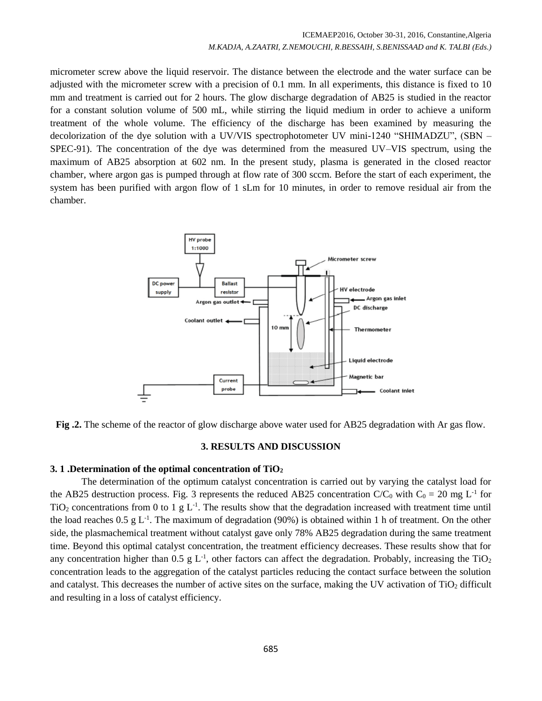micrometer screw above the liquid reservoir. The distance between the electrode and the water surface can be adjusted with the micrometer screw with a precision of 0.1 mm. In all experiments, this distance is fixed to 10 mm and treatment is carried out for 2 hours. The glow discharge degradation of AB25 is studied in the reactor for a constant solution volume of 500 mL, while stirring the liquid medium in order to achieve a uniform treatment of the whole volume. The efficiency of the discharge has been examined by measuring the decolorization of the dye solution with a UV/VIS spectrophotometer UV mini-1240 "SHIMADZU", (SBN – SPEC-91). The concentration of the dye was determined from the measured UV–VIS spectrum, using the maximum of AB25 absorption at 602 nm. In the present study, plasma is generated in the closed reactor chamber, where argon gas is pumped through at flow rate of 300 sccm. Before the start of each experiment, the system has been purified with argon flow of 1 sLm for 10 minutes, in order to remove residual air from the chamber.



**Fig .2.** The scheme of the reactor of glow discharge above water used for AB25 degradation with Ar gas flow.

# **3. RESULTS AND DISCUSSION**

# **3. 1 .Determination of the optimal concentration of TiO<sup>2</sup>**

The determination of the optimum catalyst concentration is carried out by varying the catalyst load for the AB25 destruction process. Fig. 3 represents the reduced AB25 concentration  $C/C_0$  with  $C_0 = 20$  mg L<sup>-1</sup> for TiO<sub>2</sub> concentrations from 0 to 1 g  $L^{-1}$ . The results show that the degradation increased with treatment time until the load reaches  $0.5 \text{ g L}^{-1}$ . The maximum of degradation (90%) is obtained within 1 h of treatment. On the other side, the plasmachemical treatment without catalyst gave only 78% AB25 degradation during the same treatment time. Beyond this optimal catalyst concentration, the treatment efficiency decreases. These results show that for any concentration higher than 0.5 g  $L^{-1}$ , other factors can affect the degradation. Probably, increasing the TiO<sub>2</sub> concentration leads to the aggregation of the catalyst particles reducing the contact surface between the solution and catalyst. This decreases the number of active sites on the surface, making the UV activation of TiO<sub>2</sub> difficult and resulting in a loss of catalyst efficiency.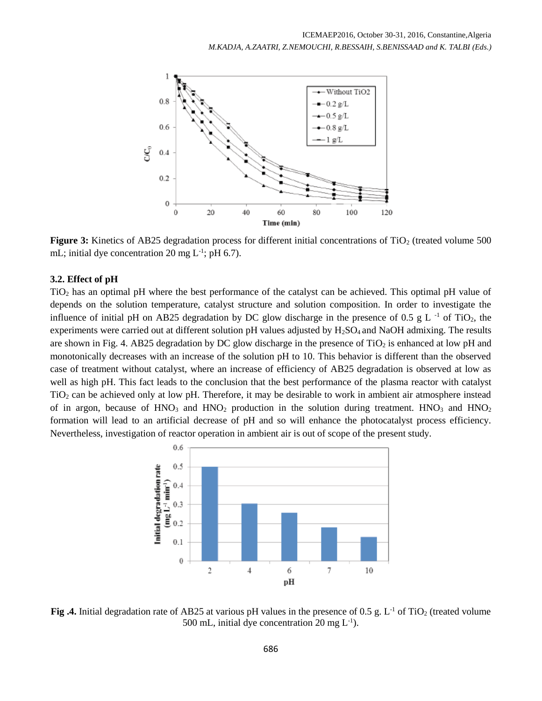

**Figure 3:** Kinetics of AB25 degradation process for different initial concentrations of TiO<sub>2</sub> (treated volume 500) mL; initial dye concentration 20 mg  $L^{-1}$ ; pH 6.7).

# **3.2. Effect of pH**

TiO<sup>2</sup> has an optimal pH where the best performance of the catalyst can be achieved. This optimal pH value of depends on the solution temperature, catalyst structure and solution composition. In order to investigate the influence of initial pH on AB25 degradation by DC glow discharge in the presence of 0.5 g L<sup>-1</sup> of TiO<sub>2</sub>, the experiments were carried out at different solution pH values adjusted by H<sub>2</sub>SO<sub>4</sub> and NaOH admixing. The results are shown in Fig. 4. AB25 degradation by DC glow discharge in the presence of  $TiO<sub>2</sub>$  is enhanced at low pH and monotonically decreases with an increase of the solution pH to 10. This behavior is different than the observed case of treatment without catalyst, where an increase of efficiency of AB25 degradation is observed at low as well as high pH. This fact leads to the conclusion that the best performance of the plasma reactor with catalyst TiO<sup>2</sup> can be achieved only at low pH. Therefore, it may be desirable to work in ambient air atmosphere instead of in argon, because of  $HNO<sub>3</sub>$  and  $HNO<sub>2</sub>$  production in the solution during treatment.  $HNO<sub>3</sub>$  and  $HNO<sub>2</sub>$ formation will lead to an artificial decrease of pH and so will enhance the photocatalyst process efficiency. Nevertheless, investigation of reactor operation in ambient air is out of scope of the present study.



**Fig .4.** Initial degradation rate of AB25 at various pH values in the presence of 0.5 g. L<sup>-1</sup> of TiO<sub>2</sub> (treated volume 500 mL, initial dye concentration 20 mg  $L^{-1}$ ).